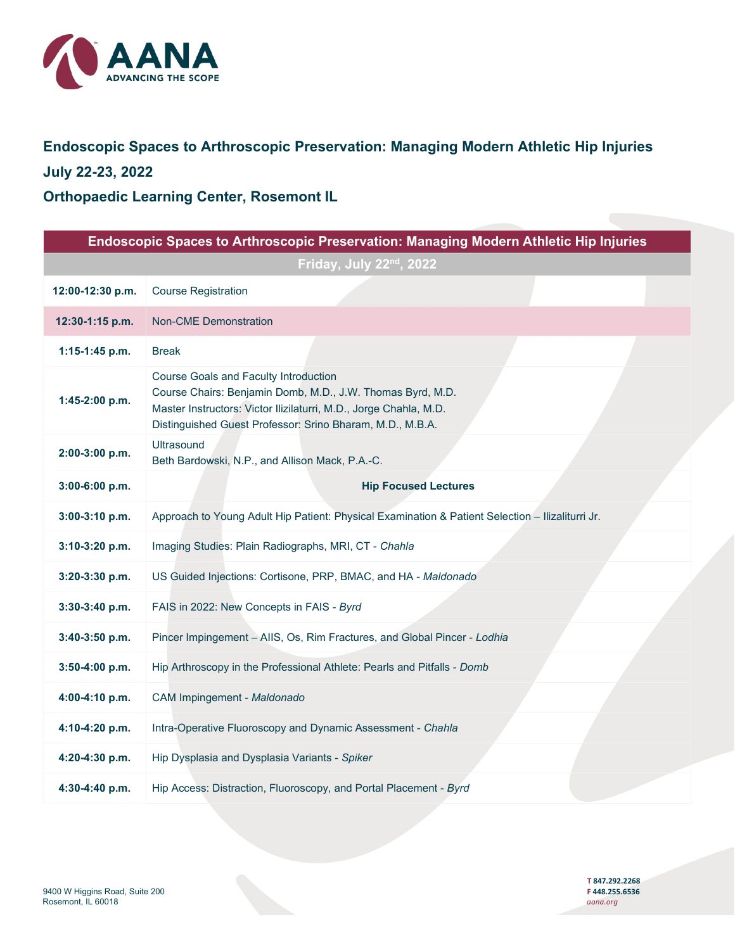

# **Endoscopic Spaces to Arthroscopic Preservation: Managing Modern Athletic Hip Injuries July 22-23, 2022**

**Orthopaedic Learning Center, Rosemont IL**

| Endoscopic Spaces to Arthroscopic Preservation: Managing Modern Athletic Hip Injuries |                                                                                                                                                                                                                                       |  |
|---------------------------------------------------------------------------------------|---------------------------------------------------------------------------------------------------------------------------------------------------------------------------------------------------------------------------------------|--|
| Friday, July 22nd, 2022                                                               |                                                                                                                                                                                                                                       |  |
| 12:00-12:30 p.m.                                                                      | <b>Course Registration</b>                                                                                                                                                                                                            |  |
| 12:30-1:15 p.m.                                                                       | <b>Non-CME Demonstration</b>                                                                                                                                                                                                          |  |
| 1:15-1:45 p.m.                                                                        | <b>Break</b>                                                                                                                                                                                                                          |  |
| 1:45-2:00 p.m.                                                                        | Course Goals and Faculty Introduction<br>Course Chairs: Benjamin Domb, M.D., J.W. Thomas Byrd, M.D.<br>Master Instructors: Victor Ilizilaturri, M.D., Jorge Chahla, M.D.<br>Distinguished Guest Professor: Srino Bharam, M.D., M.B.A. |  |
| 2:00-3:00 p.m.                                                                        | Ultrasound<br>Beth Bardowski, N.P., and Allison Mack, P.A.-C.                                                                                                                                                                         |  |
| 3:00-6:00 p.m.                                                                        | <b>Hip Focused Lectures</b>                                                                                                                                                                                                           |  |
| 3:00-3:10 p.m.                                                                        | Approach to Young Adult Hip Patient: Physical Examination & Patient Selection - Ilizaliturri Jr.                                                                                                                                      |  |
| 3:10-3:20 p.m.                                                                        | Imaging Studies: Plain Radiographs, MRI, CT - Chahla                                                                                                                                                                                  |  |
| 3:20-3:30 p.m.                                                                        | US Guided Injections: Cortisone, PRP, BMAC, and HA - Maldonado                                                                                                                                                                        |  |
| 3:30-3:40 p.m.                                                                        | FAIS in 2022: New Concepts in FAIS - Byrd                                                                                                                                                                                             |  |
| 3:40-3:50 p.m.                                                                        | Pincer Impingement - AIIS, Os, Rim Fractures, and Global Pincer - Lodhia                                                                                                                                                              |  |
| 3:50-4:00 p.m.                                                                        | Hip Arthroscopy in the Professional Athlete: Pearls and Pitfalls - Domb                                                                                                                                                               |  |
| 4:00-4:10 p.m.                                                                        | CAM Impingement - Maldonado                                                                                                                                                                                                           |  |
| 4:10-4:20 p.m.                                                                        | Intra-Operative Fluoroscopy and Dynamic Assessment - Chahla                                                                                                                                                                           |  |
| 4:20-4:30 p.m.                                                                        | Hip Dysplasia and Dysplasia Variants - Spiker                                                                                                                                                                                         |  |
| 4:30-4:40 p.m.                                                                        | Hip Access: Distraction, Fluoroscopy, and Portal Placement - Byrd                                                                                                                                                                     |  |

 **T 847.292.2268**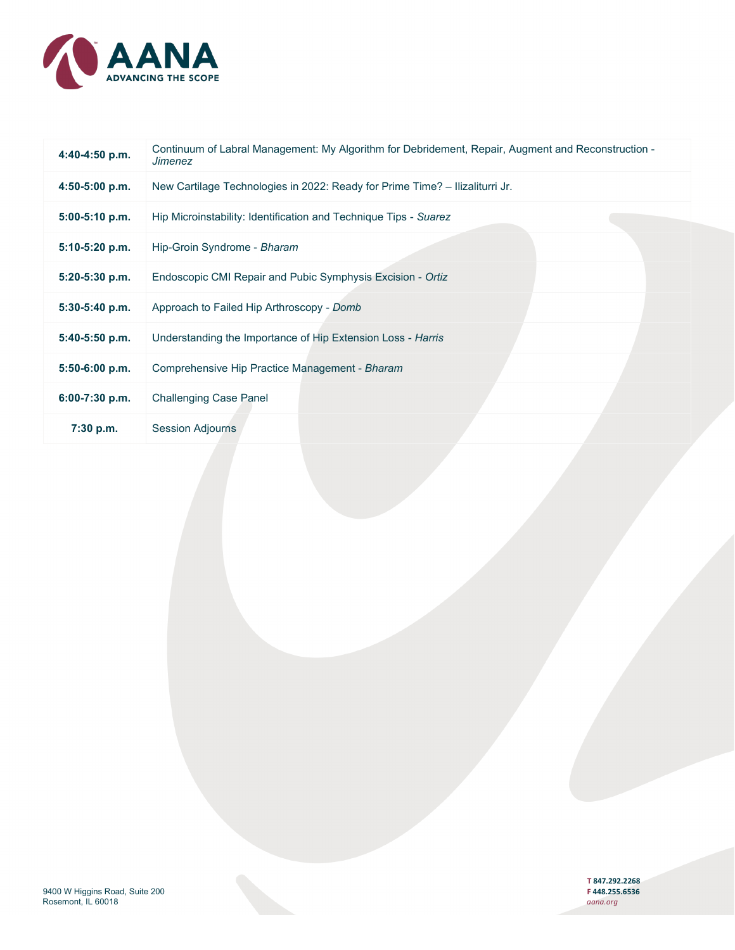

| 4:40-4:50 p.m.   | Continuum of Labral Management: My Algorithm for Debridement, Repair, Augment and Reconstruction -<br><b>Jimenez</b> |
|------------------|----------------------------------------------------------------------------------------------------------------------|
| $4:50-5:00$ p.m. | New Cartilage Technologies in 2022: Ready for Prime Time? - Ilizaliturri Jr.                                         |
| $5:00-5:10$ p.m. | Hip Microinstability: Identification and Technique Tips - Suarez                                                     |
| 5:10-5:20 p.m.   | Hip-Groin Syndrome - Bharam                                                                                          |
| 5:20-5:30 p.m.   | Endoscopic CMI Repair and Pubic Symphysis Excision - Ortiz                                                           |
| 5:30-5:40 p.m.   | Approach to Failed Hip Arthroscopy - Domb                                                                            |
| $5:40-5:50$ p.m. | Understanding the Importance of Hip Extension Loss - Harris                                                          |
| $5:50-6:00$ p.m. | Comprehensive Hip Practice Management - Bharam                                                                       |
| 6:00-7:30 p.m.   | <b>Challenging Case Panel</b>                                                                                        |
| $7:30$ p.m.      | <b>Session Adjourns</b>                                                                                              |

**T 847.292.2268**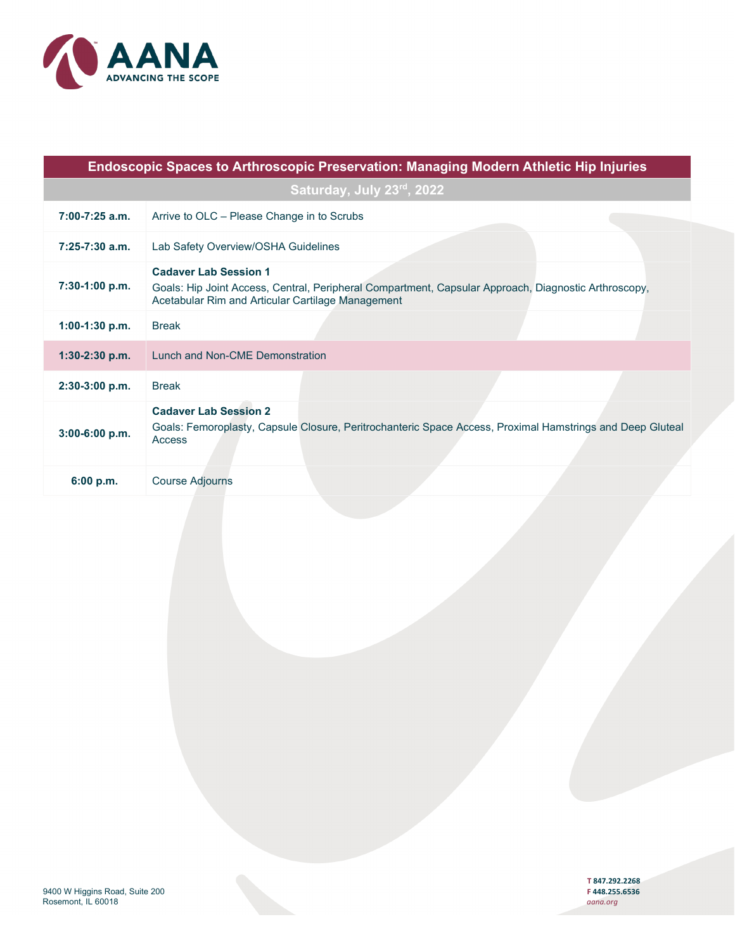

| Endoscopic Spaces to Arthroscopic Preservation: Managing Modern Athletic Hip Injuries |                                                                                                                                                                                           |  |
|---------------------------------------------------------------------------------------|-------------------------------------------------------------------------------------------------------------------------------------------------------------------------------------------|--|
| Saturday, July 23rd, 2022                                                             |                                                                                                                                                                                           |  |
| $7:00-7:25$ a.m.                                                                      | Arrive to OLC - Please Change in to Scrubs                                                                                                                                                |  |
| $7:25-7:30$ a.m.                                                                      | Lab Safety Overview/OSHA Guidelines                                                                                                                                                       |  |
| 7:30-1:00 p.m.                                                                        | <b>Cadaver Lab Session 1</b><br>Goals: Hip Joint Access, Central, Peripheral Compartment, Capsular Approach, Diagnostic Arthroscopy,<br>Acetabular Rim and Articular Cartilage Management |  |
| $1:00-1:30$ p.m.                                                                      | <b>Break</b>                                                                                                                                                                              |  |
| $1:30-2:30$ p.m.                                                                      | Lunch and Non-CME Demonstration                                                                                                                                                           |  |
| $2:30-3:00$ p.m.                                                                      | <b>Break</b>                                                                                                                                                                              |  |
| $3:00-6:00 p.m.$                                                                      | <b>Cadaver Lab Session 2</b><br>Goals: Femoroplasty, Capsule Closure, Peritrochanteric Space Access, Proximal Hamstrings and Deep Gluteal<br>Access                                       |  |
| 6:00 p.m.                                                                             | <b>Course Adjourns</b>                                                                                                                                                                    |  |